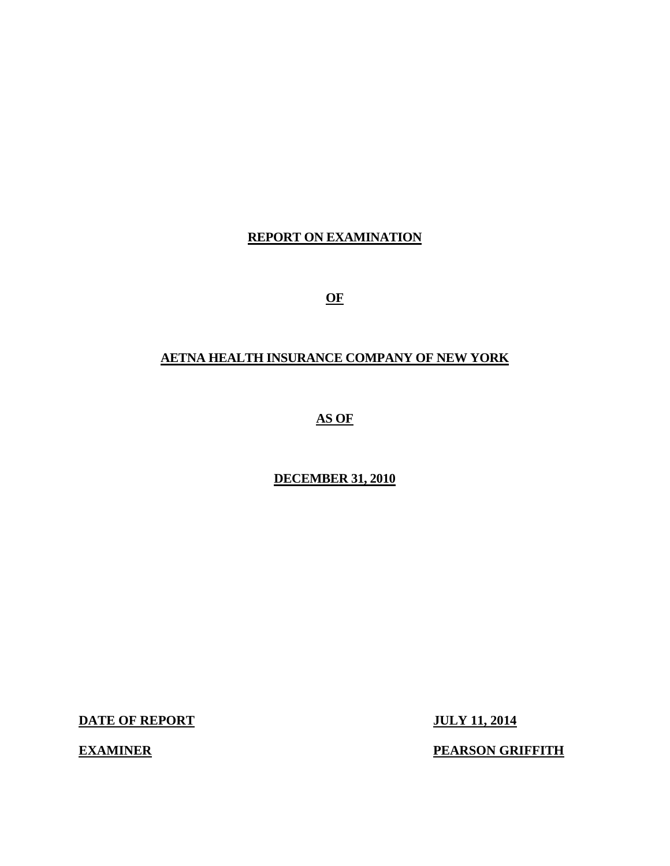## **REPORT ON EXAMINATION**

**OF** 

## **AETNA HEALTH INSURANCE COMPANY OF NEW YORK**

**AS OF** 

## **DECEMBER 31, 2010**

**DATE OF REPORT JULY 11, 2014** 

**EXAMINER** 

**PEARSON GRIFFITH**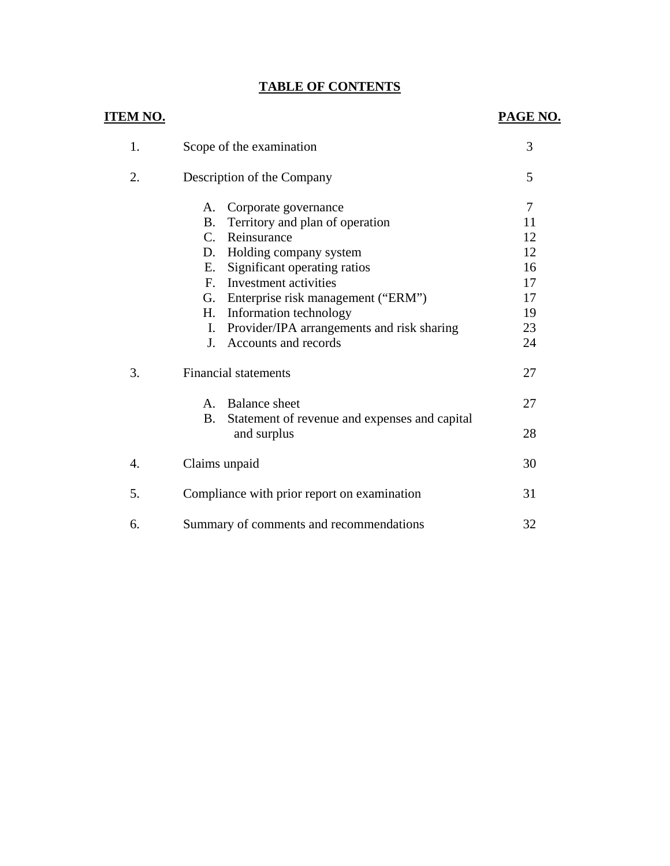## **TABLE OF CONTENTS**

| <u>ITEM NO.</u>  |                                                                                                                                                                  | PAGE NO.             |
|------------------|------------------------------------------------------------------------------------------------------------------------------------------------------------------|----------------------|
| 1.               | Scope of the examination                                                                                                                                         | 3                    |
| 2.               | Description of the Company                                                                                                                                       | 5                    |
|                  | Corporate governance<br>А.<br>Territory and plan of operation<br><b>B.</b><br>C. Reinsurance                                                                     | 7<br>11<br>12        |
|                  | Holding company system<br>D.<br>Significant operating ratios<br>Е.<br>Investment activities<br>$F_{\cdot}$                                                       | 12<br>16<br>17       |
|                  | G. Enterprise risk management ("ERM")<br>H.<br>Information technology<br>Provider/IPA arrangements and risk sharing<br>I.<br>Accounts and records<br>$J_{\cdot}$ | 17<br>19<br>23<br>24 |
| 3.               | <b>Financial statements</b>                                                                                                                                      | 27                   |
|                  | <b>Balance</b> sheet<br>$A_{\cdot}$<br><b>B.</b><br>Statement of revenue and expenses and capital                                                                | 27                   |
|                  | and surplus                                                                                                                                                      | 28                   |
| $\overline{4}$ . | Claims unpaid                                                                                                                                                    | 30                   |
| 5.               | Compliance with prior report on examination                                                                                                                      | 31                   |
| 6.               | Summary of comments and recommendations                                                                                                                          | 32                   |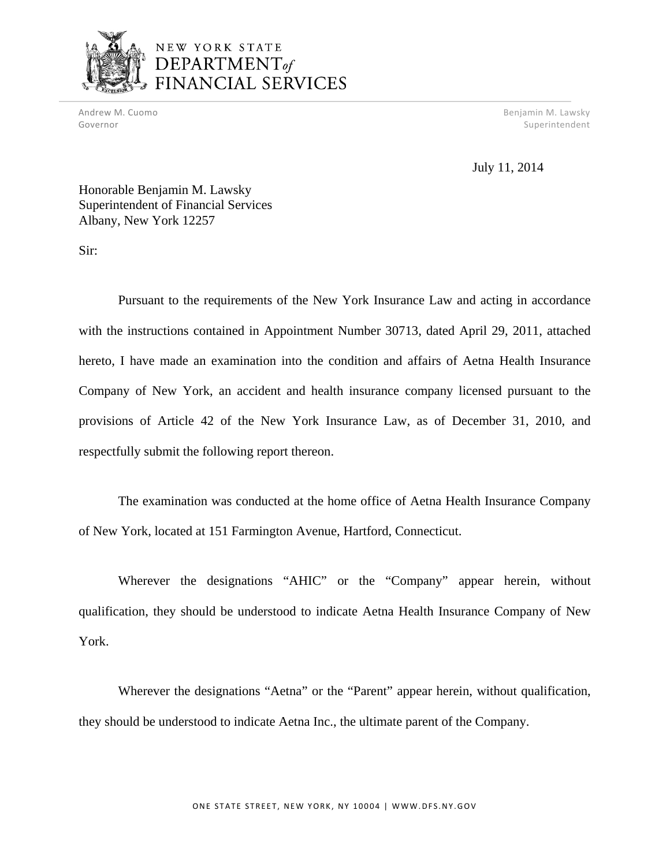

## NEW YORK STATE **DEPARTMENT**of CIAL SERVICES

Andrew M. Cuomo Benjamin M. Lawsky Governor Superintendent and Superintendent Superintendent Superintendent Superintendent Superintendent Superintendent

July 11, 2014

Honorable Benjamin M. Lawsky Superintendent of Financial Services Albany, New York 12257

Sir:

Pursuant to the requirements of the New York Insurance Law and acting in accordance with the instructions contained in Appointment Number 30713, dated April 29, 2011, attached hereto, I have made an examination into the condition and affairs of Aetna Health Insurance Company of New York, an accident and health insurance company licensed pursuant to the provisions of Article 42 of the New York Insurance Law, as of December 31, 2010, and respectfully submit the following report thereon.

The examination was conducted at the home office of Aetna Health Insurance Company of New York, located at 151 Farmington Avenue, Hartford, Connecticut.

Wherever the designations "AHIC" or the "Company" appear herein, without qualification, they should be understood to indicate Aetna Health Insurance Company of New York.

Wherever the designations "Aetna" or the "Parent" appear herein, without qualification, they should be understood to indicate Aetna Inc., the ultimate parent of the Company.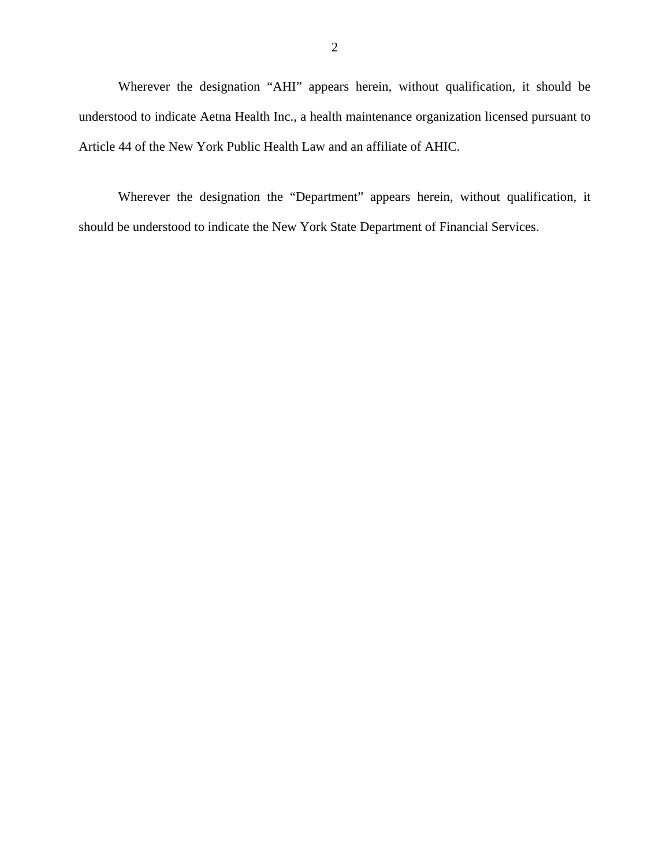Wherever the designation "AHI" appears herein, without qualification, it should be understood to indicate Aetna Health Inc., a health maintenance organization licensed pursuant to Article 44 of the New York Public Health Law and an affiliate of AHIC.

Wherever the designation the "Department" appears herein, without qualification, it should be understood to indicate the New York State Department of Financial Services.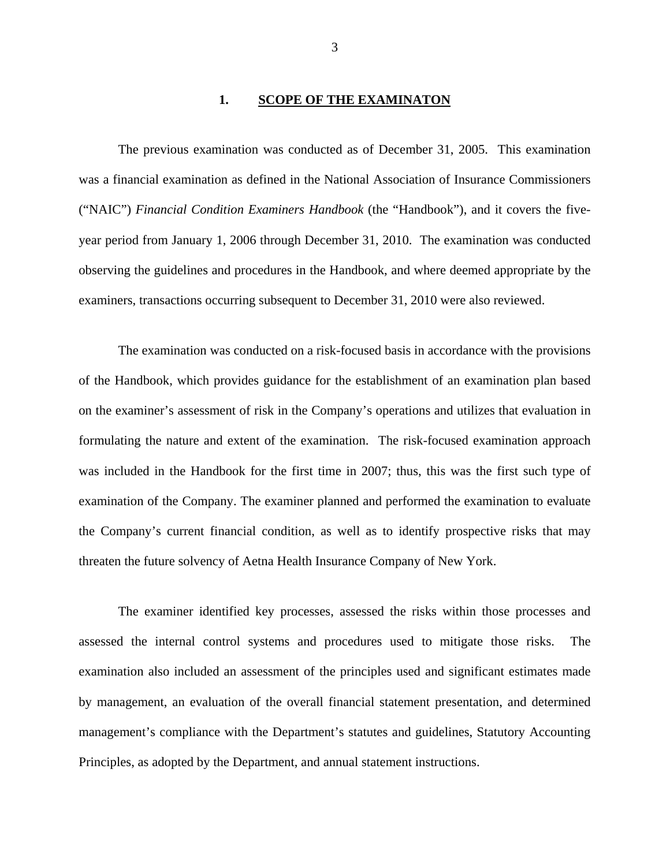#### **1. SCOPE OF THE EXAMINATON**

The previous examination was conducted as of December 31, 2005. This examination was a financial examination as defined in the National Association of Insurance Commissioners ("NAIC") *Financial Condition Examiners Handbook* (the "Handbook"), and it covers the fiveyear period from January 1, 2006 through December 31, 2010. The examination was conducted observing the guidelines and procedures in the Handbook, and where deemed appropriate by the examiners, transactions occurring subsequent to December 31, 2010 were also reviewed.

The examination was conducted on a risk-focused basis in accordance with the provisions of the Handbook, which provides guidance for the establishment of an examination plan based on the examiner's assessment of risk in the Company's operations and utilizes that evaluation in formulating the nature and extent of the examination. The risk-focused examination approach was included in the Handbook for the first time in 2007; thus, this was the first such type of examination of the Company. The examiner planned and performed the examination to evaluate the Company's current financial condition, as well as to identify prospective risks that may threaten the future solvency of Aetna Health Insurance Company of New York.

The examiner identified key processes, assessed the risks within those processes and assessed the internal control systems and procedures used to mitigate those risks. The examination also included an assessment of the principles used and significant estimates made by management, an evaluation of the overall financial statement presentation, and determined management's compliance with the Department's statutes and guidelines, Statutory Accounting Principles, as adopted by the Department, and annual statement instructions.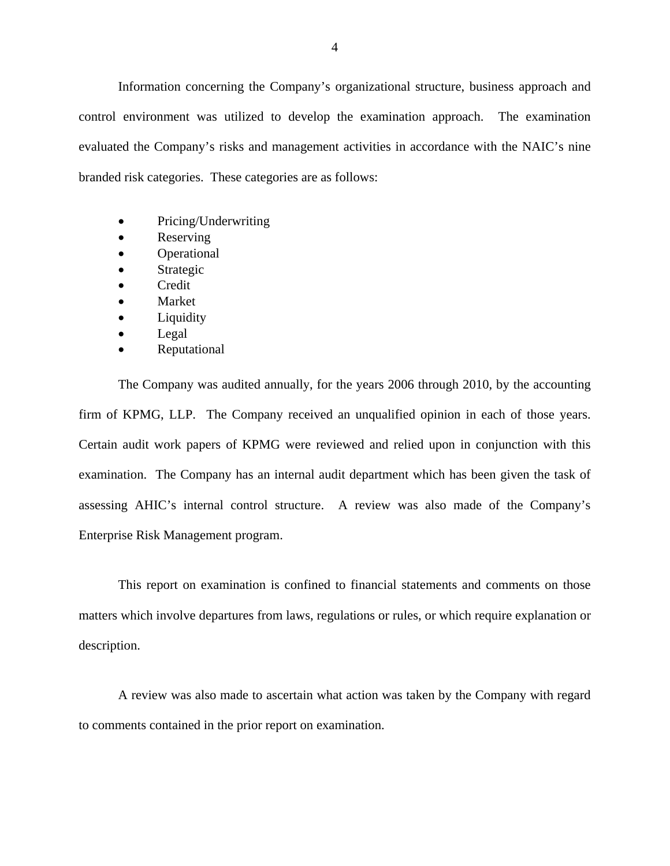Information concerning the Company's organizational structure, business approach and control environment was utilized to develop the examination approach. The examination evaluated the Company's risks and management activities in accordance with the NAIC's nine branded risk categories. These categories are as follows:

- Pricing/Underwriting
- Reserving
- Operational
- Strategic
- Credit
- Market
- Liquidity
- Legal
- Reputational

The Company was audited annually, for the years 2006 through 2010, by the accounting firm of KPMG, LLP. The Company received an unqualified opinion in each of those years. Certain audit work papers of KPMG were reviewed and relied upon in conjunction with this examination. The Company has an internal audit department which has been given the task of assessing AHIC's internal control structure. A review was also made of the Company's Enterprise Risk Management program.

This report on examination is confined to financial statements and comments on those matters which involve departures from laws, regulations or rules, or which require explanation or description.

A review was also made to ascertain what action was taken by the Company with regard to comments contained in the prior report on examination.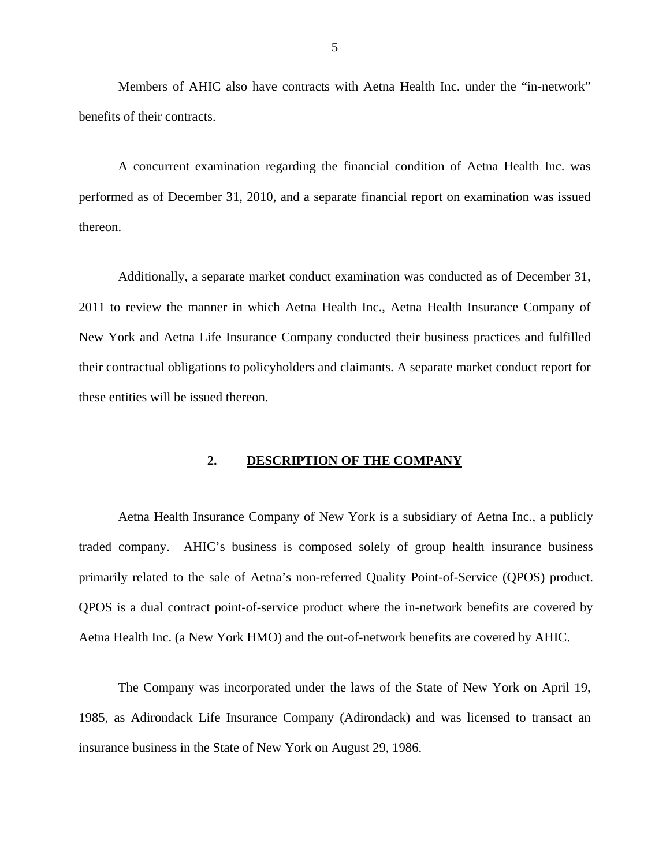Members of AHIC also have contracts with Aetna Health Inc. under the "in-network" benefits of their contracts.

A concurrent examination regarding the financial condition of Aetna Health Inc. was performed as of December 31, 2010, and a separate financial report on examination was issued thereon.

 these entities will be issued thereon. Additionally, a separate market conduct examination was conducted as of December 31, 2011 to review the manner in which Aetna Health Inc., Aetna Health Insurance Company of New York and Aetna Life Insurance Company conducted their business practices and fulfilled their contractual obligations to policyholders and claimants. A separate market conduct report for

#### **2. DESCRIPTION OF THE COMPANY**

 primarily related to the sale of Aetna's non-referred Quality Point-of-Service (QPOS) product. Aetna Health Insurance Company of New York is a subsidiary of Aetna Inc., a publicly traded company. AHIC's business is composed solely of group health insurance business QPOS is a dual contract point-of-service product where the in-network benefits are covered by Aetna Health Inc. (a New York HMO) and the out-of-network benefits are covered by AHIC.

The Company was incorporated under the laws of the State of New York on April 19, 1985, as Adirondack Life Insurance Company (Adirondack) and was licensed to transact an insurance business in the State of New York on August 29, 1986.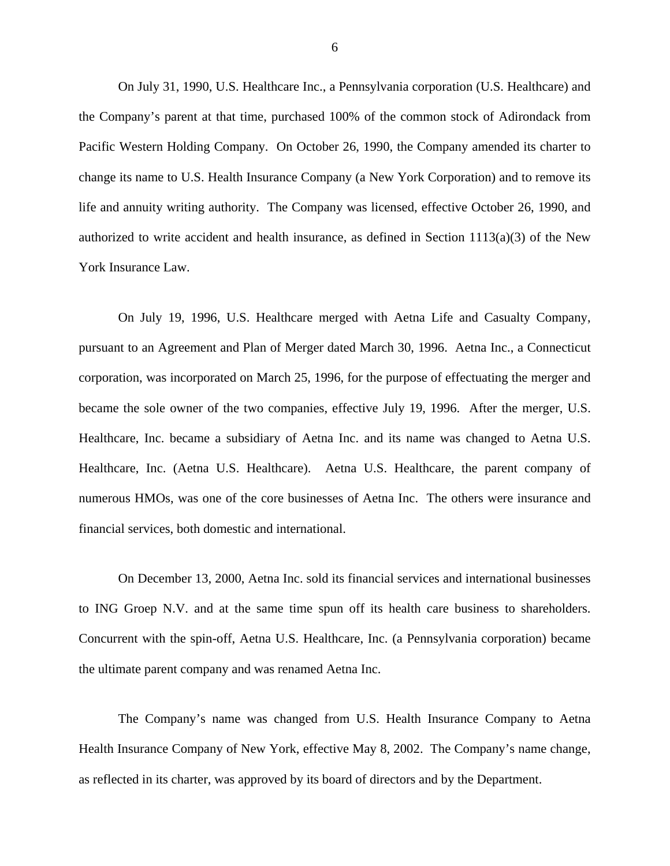On July 31, 1990, U.S. Healthcare Inc., a Pennsylvania corporation (U.S. Healthcare) and the Company's parent at that time, purchased 100% of the common stock of Adirondack from Pacific Western Holding Company. On October 26, 1990, the Company amended its charter to change its name to U.S. Health Insurance Company (a New York Corporation) and to remove its life and annuity writing authority. The Company was licensed, effective October 26, 1990, and authorized to write accident and health insurance, as defined in Section  $1113(a)(3)$  of the New York Insurance Law.

On July 19, 1996, U.S. Healthcare merged with Aetna Life and Casualty Company, pursuant to an Agreement and Plan of Merger dated March 30, 1996. Aetna Inc., a Connecticut corporation, was incorporated on March 25, 1996, for the purpose of effectuating the merger and became the sole owner of the two companies, effective July 19, 1996. After the merger, U.S. Healthcare, Inc. became a subsidiary of Aetna Inc. and its name was changed to Aetna U.S. Healthcare, Inc. (Aetna U.S. Healthcare). Aetna U.S. Healthcare, the parent company of numerous HMOs, was one of the core businesses of Aetna Inc. The others were insurance and financial services, both domestic and international.

On December 13, 2000, Aetna Inc. sold its financial services and international businesses to ING Groep N.V. and at the same time spun off its health care business to shareholders. Concurrent with the spin-off, Aetna U.S. Healthcare, Inc. (a Pennsylvania corporation) became the ultimate parent company and was renamed Aetna Inc.

The Company's name was changed from U.S. Health Insurance Company to Aetna Health Insurance Company of New York, effective May 8, 2002. The Company's name change, as reflected in its charter, was approved by its board of directors and by the Department.

6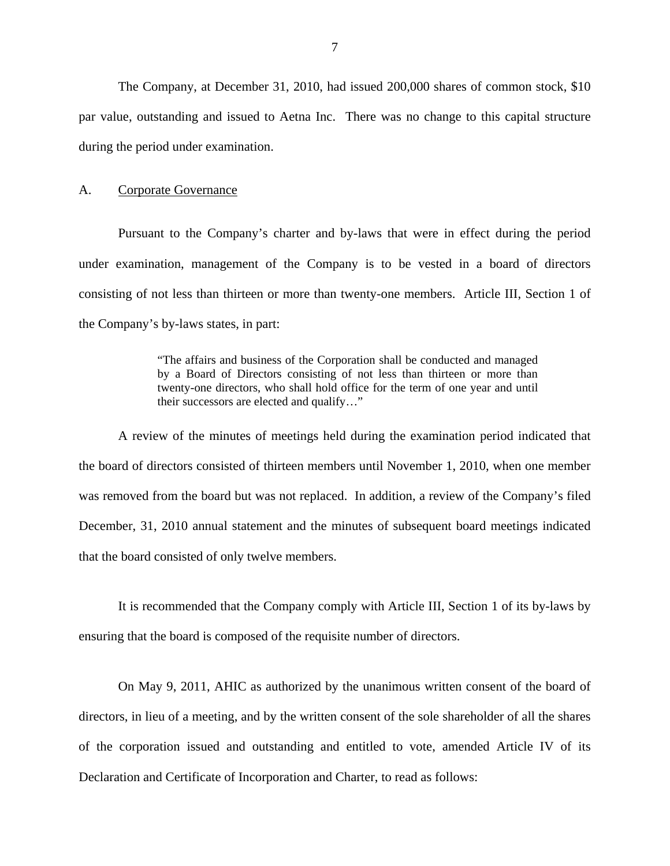<span id="page-8-0"></span>The Company, at December 31, 2010, had issued 200,000 shares of common stock, \$10 par value, outstanding and issued to Aetna Inc. There was no change to this capital structure during the period under examination.

#### A. Corporate Governance

Pursuant to the Company's charter and by-laws that were in effect during the period under examination, management of the Company is to be vested in a board of directors consisting of not less than thirteen or more than twenty-one members. Article III, Section 1 of the Company's by-laws states, in part:

> "The affairs and business of the Corporation shall be conducted and managed by a Board of Directors consisting of not less than thirteen or more than twenty-one directors, who shall hold office for the term of one year and until their successors are elected and qualify…"

A review of the minutes of meetings held during the examination period indicated that the board of directors consisted of thirteen members until November 1, 2010, when one member was removed from the board but was not replaced. In addition, a review of the Company's filed December, 31, 2010 annual statement and the minutes of subsequent board meetings indicated that the board consisted of only twelve members.

It is recommended that the Company comply with Article III, Section 1 of its by-laws by ensuring that the board is composed of the requisite number of directors.

On May 9, 2011, AHIC as authorized by the unanimous written consent of the board of directors, in lieu of a meeting, and by the written consent of the sole shareholder of all the shares of the corporation issued and outstanding and entitled to vote, amended Article IV of its Declaration and Certificate of Incorporation and Charter, to read as follows: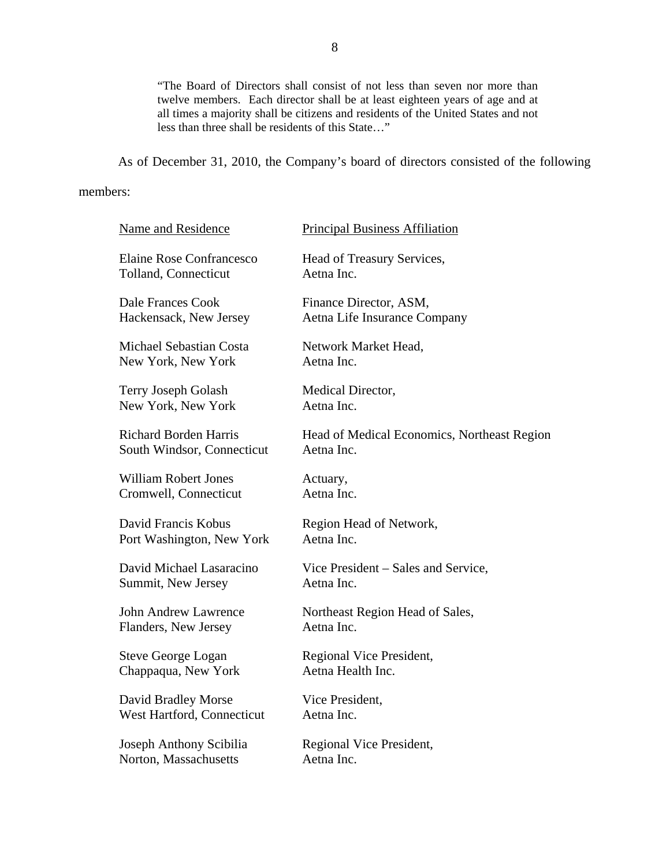"The Board of Directors shall consist of not less than seven nor more than twelve members. Each director shall be at least eighteen years of age and at all times a majority shall be citizens and residents of the United States and not less than three shall be residents of this State…"

As of December 31, 2010, the Company's board of directors consisted of the following

#### members:

| members: |                                                            |                                                           |
|----------|------------------------------------------------------------|-----------------------------------------------------------|
|          | <b>Name and Residence</b>                                  | <b>Principal Business Affiliation</b>                     |
|          | Elaine Rose Confrancesco<br>Tolland, Connecticut           | Head of Treasury Services,<br>Aetna Inc.                  |
|          | Dale Frances Cook<br>Hackensack, New Jersey                | Finance Director, ASM,<br>Aetna Life Insurance Company    |
|          | <b>Michael Sebastian Costa</b><br>New York, New York       | Network Market Head,<br>Aetna Inc.                        |
|          | Terry Joseph Golash<br>New York, New York                  | Medical Director,<br>Aetna Inc.                           |
|          | <b>Richard Borden Harris</b><br>South Windsor, Connecticut | Head of Medical Economics, Northeast Region<br>Aetna Inc. |
|          | <b>William Robert Jones</b><br>Cromwell, Connecticut       | Actuary,<br>Aetna Inc.                                    |
|          | David Francis Kobus<br>Port Washington, New York           | Region Head of Network,<br>Aetna Inc.                     |
|          | David Michael Lasaracino<br>Summit, New Jersey             | Vice President – Sales and Service,<br>Aetna Inc.         |
|          | <b>John Andrew Lawrence</b><br>Flanders, New Jersey        | Northeast Region Head of Sales,<br>Aetna Inc.             |
|          | <b>Steve George Logan</b><br>Chappaqua, New York           | Regional Vice President,<br>Aetna Health Inc.             |
|          | David Bradley Morse<br>West Hartford, Connecticut          | Vice President,<br>Aetna Inc.                             |
|          | Joseph Anthony Scibilia<br>Norton, Massachusetts           | Regional Vice President,<br>Aetna Inc.                    |
|          |                                                            |                                                           |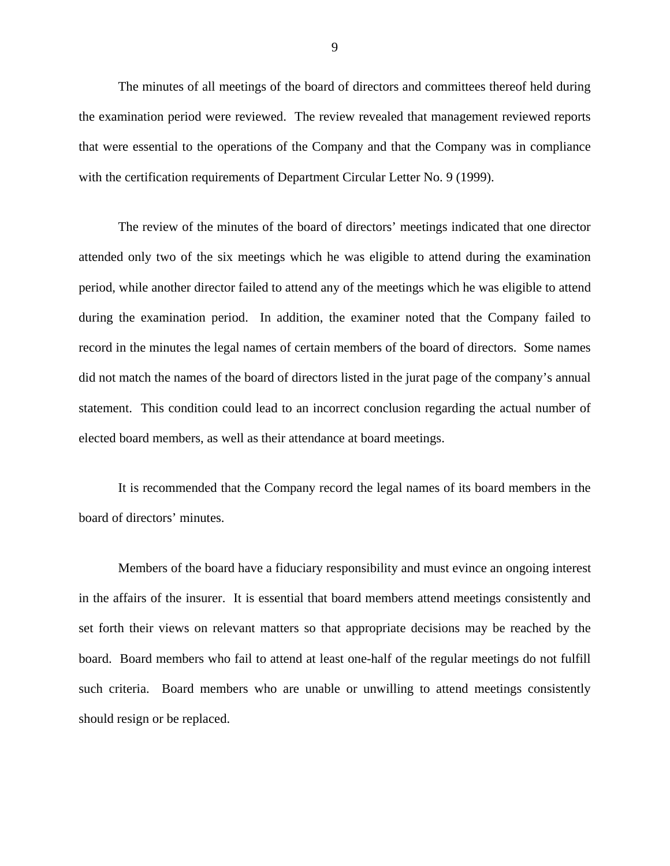The minutes of all meetings of the board of directors and committees thereof held during the examination period were reviewed. The review revealed that management reviewed reports that were essential to the operations of the Company and that the Company was in compliance with the certification requirements of Department Circular Letter No. 9 (1999).

The review of the minutes of the board of directors' meetings indicated that one director attended only two of the six meetings which he was eligible to attend during the examination period, while another director failed to attend any of the meetings which he was eligible to attend during the examination period. In addition, the examiner noted that the Company failed to record in the minutes the legal names of certain members of the board of directors. Some names did not match the names of the board of directors listed in the jurat page of the company's annual statement. This condition could lead to an incorrect conclusion regarding the actual number of elected board members, as well as their attendance at board meetings.

It is recommended that the Company record the legal names of its board members in the board of directors' minutes.

Members of the board have a fiduciary responsibility and must evince an ongoing interest in the affairs of the insurer. It is essential that board members attend meetings consistently and set forth their views on relevant matters so that appropriate decisions may be reached by the board. Board members who fail to attend at least one-half of the regular meetings do not fulfill such criteria. Board members who are unable or unwilling to attend meetings consistently should resign or be replaced.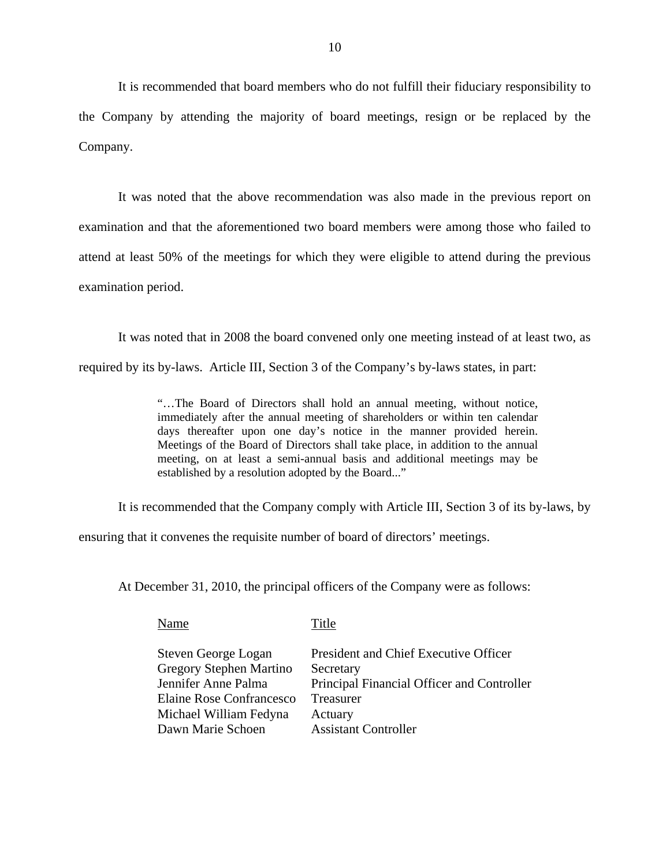It is recommended that board members who do not fulfill their fiduciary responsibility to the Company by attending the majority of board meetings, resign or be replaced by the Company.

It was noted that the above recommendation was also made in the previous report on examination and that the aforementioned two board members were among those who failed to attend at least 50% of the meetings for which they were eligible to attend during the previous examination period.

It was noted that in 2008 the board convened only one meeting instead of at least two, as required by its by-laws. Article III, Section 3 of the Company's by-laws states, in part:

> "…The Board of Directors shall hold an annual meeting, without notice, immediately after the annual meeting of shareholders or within ten calendar days thereafter upon one day's notice in the manner provided herein. Meetings of the Board of Directors shall take place, in addition to the annual meeting, on at least a semi-annual basis and additional meetings may be established by a resolution adopted by the Board..."

It is recommended that the Company comply with Article III, Section 3 of its by-laws, by

ensuring that it convenes the requisite number of board of directors' meetings.

At December 31, 2010, the principal officers of the Company were as follows:

| Name                                           | Title                                                   |
|------------------------------------------------|---------------------------------------------------------|
| Steven George Logan                            | President and Chief Executive Officer                   |
| Gregory Stephen Martino<br>Jennifer Anne Palma | Secretary<br>Principal Financial Officer and Controller |
| Elaine Rose Confrancesco                       | Treasurer                                               |
| Michael William Fedyna                         | Actuary                                                 |
| Dawn Marie Schoen                              | <b>Assistant Controller</b>                             |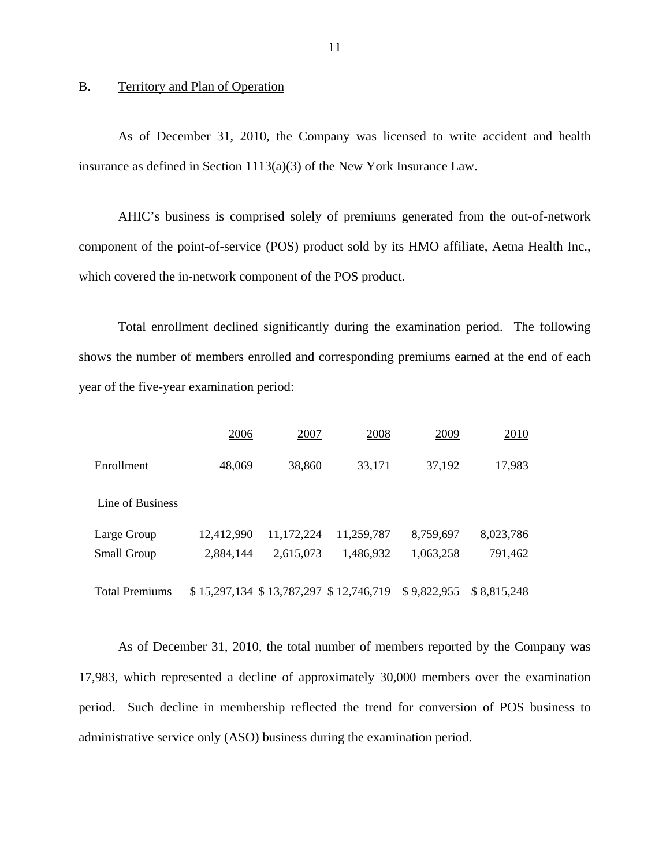#### B. Territory and Plan of Operation

As of December 31, 2010, the Company was licensed to write accident and health insurance as defined in Section 1113(a)(3) of the New York Insurance Law.

AHIC's business is comprised solely of premiums generated from the out-of-network component of the point-of-service (POS) product sold by its HMO affiliate, Aetna Health Inc., which covered the in-network component of the POS product.

Total enrollment declined significantly during the examination period. The following shows the number of members enrolled and corresponding premiums earned at the end of each year of the five-year examination period:

|                       | 2006         | 2007         | 2008         | 2009        | 2010        |
|-----------------------|--------------|--------------|--------------|-------------|-------------|
| Enrollment            | 48,069       | 38,860       | 33,171       | 37,192      | 17,983      |
| Line of Business      |              |              |              |             |             |
| Large Group           | 12,412,990   | 11,172,224   | 11,259,787   | 8,759,697   | 8,023,786   |
| Small Group           | 2,884,144    | 2,615,073    | 1,486,932    | 1,063,258   | 791,462     |
|                       |              |              |              |             |             |
| <b>Total Premiums</b> | \$15,297,134 | \$13,787,297 | \$12,746,719 | \$9,822,955 | \$8,815,248 |

As of December 31, 2010, the total number of members reported by the Company was 17,983, which represented a decline of approximately 30,000 members over the examination period. Such decline in membership reflected the trend for conversion of POS business to administrative service only (ASO) business during the examination period.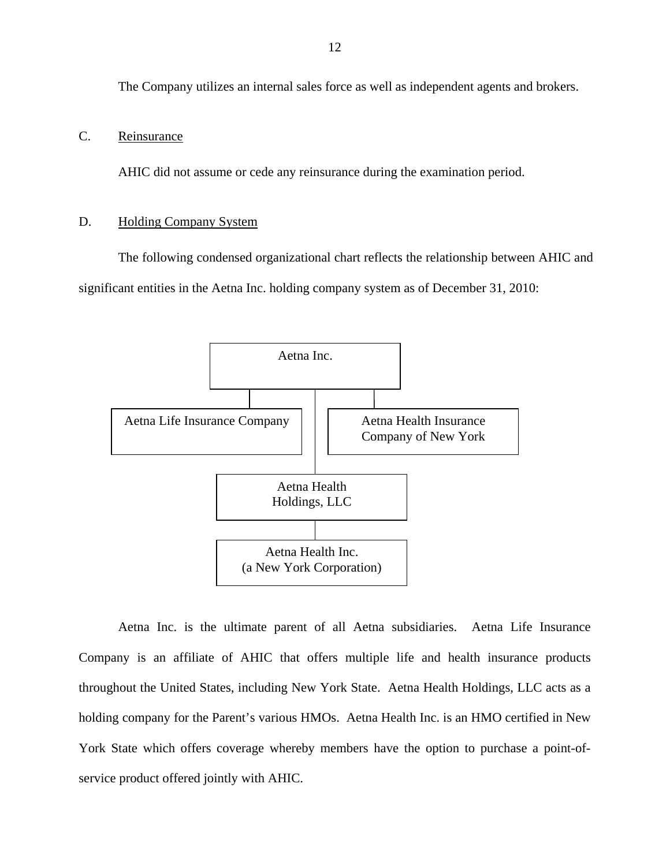<span id="page-13-0"></span>The Company utilizes an internal sales force as well as independent agents and brokers.

#### C. Reinsurance

AHIC did not assume or cede any reinsurance during the examination period.

#### **Holding Company System**

D. Holding Company System<br>The following condensed organizational chart reflects the relationship between AHIC and significant entities in the Aetna Inc. holding company system as of December 31, 2010:



Aetna Inc. is the ultimate parent of all Aetna subsidiaries. Aetna Life Insurance Company is an affiliate of AHIC that offers multiple life and health insurance products throughout the United States, including New York State. Aetna Health Holdings, LLC acts as a holding company for the Parent's various HMOs. Aetna Health Inc. is an HMO certified in New York State which offers coverage whereby members have the option to purchase a point-ofservice product offered jointly with AHIC.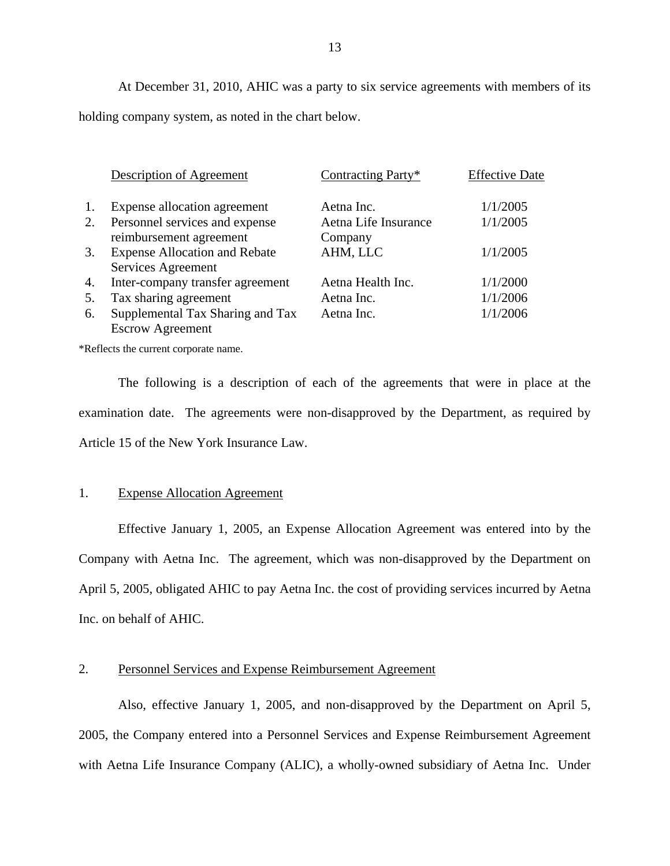At December 31, 2010, AHIC was a party to six service agreements with members of its holding company system, as noted in the chart below.

|    | Description of Agreement                                    | Contracting Party*              | <b>Effective Date</b> |
|----|-------------------------------------------------------------|---------------------------------|-----------------------|
| 1. | Expense allocation agreement                                | Aetna Inc.                      | 1/1/2005              |
| 2. | Personnel services and expense<br>reimbursement agreement   | Aetna Life Insurance<br>Company | 1/1/2005              |
| 3. | <b>Expense Allocation and Rebate</b><br>Services Agreement  | AHM, LLC                        | 1/1/2005              |
| 4. | Inter-company transfer agreement                            | Aetna Health Inc.               | 1/1/2000              |
| 5. | Tax sharing agreement                                       | Aetna Inc.                      | 1/1/2006              |
| 6. | Supplemental Tax Sharing and Tax<br><b>Escrow Agreement</b> | Aetna Inc.                      | 1/1/2006              |

\*Reflects the current corporate name.

The following is a description of each of the agreements that were in place at the examination date. The agreements were non-disapproved by the Department, as required by Article 15 of the New York Insurance Law.

#### 1. Expense Allocation Agreement

Effective January 1, 2005, an Expense Allocation Agreement was entered into by the Company with Aetna Inc. The agreement, which was non-disapproved by the Department on April 5, 2005, obligated AHIC to pay Aetna Inc. the cost of providing services incurred by Aetna Inc. on behalf of AHIC.

#### 2. Personnel Services and Expense Reimbursement Agreement

Also, effective January 1, 2005, and non-disapproved by the Department on April 5, 2005, the Company entered into a Personnel Services and Expense Reimbursement Agreement with Aetna Life Insurance Company (ALIC), a wholly-owned subsidiary of Aetna Inc. Under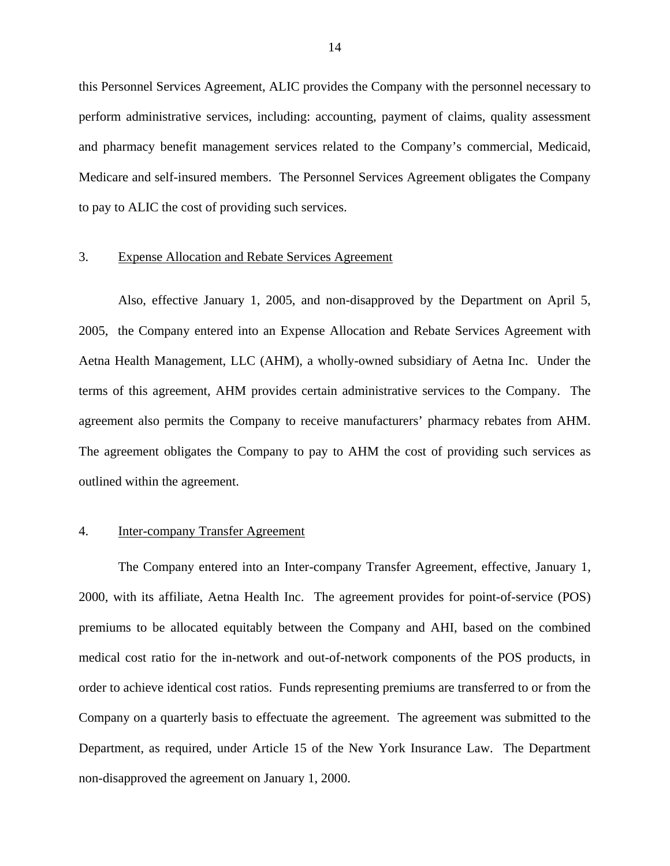this Personnel Services Agreement, ALIC provides the Company with the personnel necessary to perform administrative services, including: accounting, payment of claims, quality assessment and pharmacy benefit management services related to the Company's commercial, Medicaid, Medicare and self-insured members. The Personnel Services Agreement obligates the Company to pay to ALIC the cost of providing such services.

#### 3. Expense Allocation and Rebate Services Agreement

Also, effective January 1, 2005, and non-disapproved by the Department on April 5, 2005, the Company entered into an Expense Allocation and Rebate Services Agreement with Aetna Health Management, LLC (AHM), a wholly-owned subsidiary of Aetna Inc. Under the terms of this agreement, AHM provides certain administrative services to the Company. The agreement also permits the Company to receive manufacturers' pharmacy rebates from AHM. The agreement obligates the Company to pay to AHM the cost of providing such services as outlined within the agreement.

#### 4. Inter-company Transfer Agreement

The Company entered into an Inter-company Transfer Agreement, effective, January 1, 2000, with its affiliate, Aetna Health Inc. The agreement provides for point-of-service (POS) premiums to be allocated equitably between the Company and AHI, based on the combined medical cost ratio for the in-network and out-of-network components of the POS products, in order to achieve identical cost ratios. Funds representing premiums are transferred to or from the Company on a quarterly basis to effectuate the agreement. The agreement was submitted to the Department, as required, under Article 15 of the New York Insurance Law. The Department non-disapproved the agreement on January 1, 2000.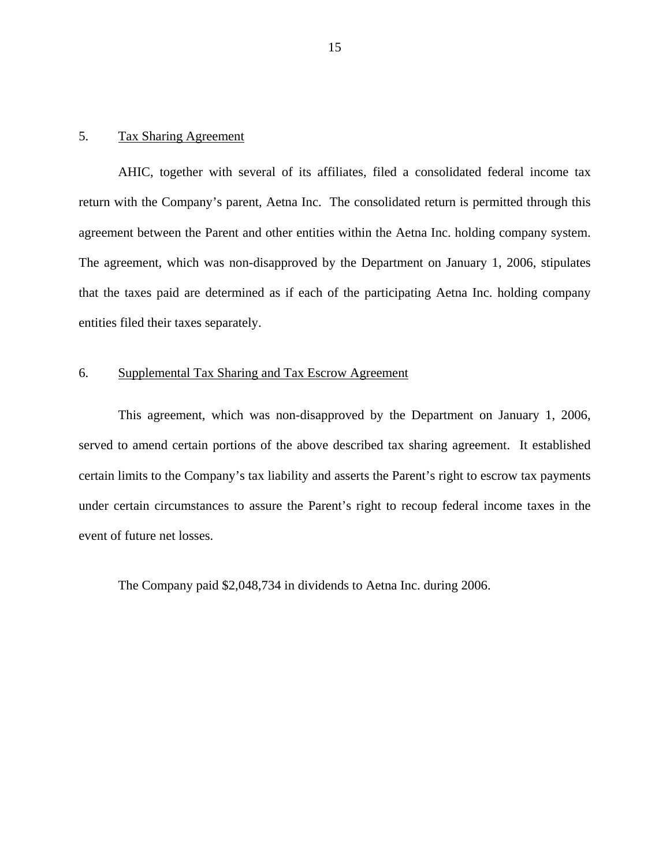#### 5. Tax Sharing Agreement

AHIC, together with several of its affiliates, filed a consolidated federal income tax return with the Company's parent, Aetna Inc. The consolidated return is permitted through this agreement between the Parent and other entities within the Aetna Inc. holding company system. The agreement, which was non-disapproved by the Department on January 1, 2006, stipulates that the taxes paid are determined as if each of the participating Aetna Inc. holding company entities filed their taxes separately.

#### 6. Supplemental Tax Sharing and Tax Escrow Agreement

This agreement, which was non-disapproved by the Department on January 1, 2006, served to amend certain portions of the above described tax sharing agreement. It established certain limits to the Company's tax liability and asserts the Parent's right to escrow tax payments under certain circumstances to assure the Parent's right to recoup federal income taxes in the event of future net losses.

The Company paid \$2,048,734 in dividends to Aetna Inc. during 2006.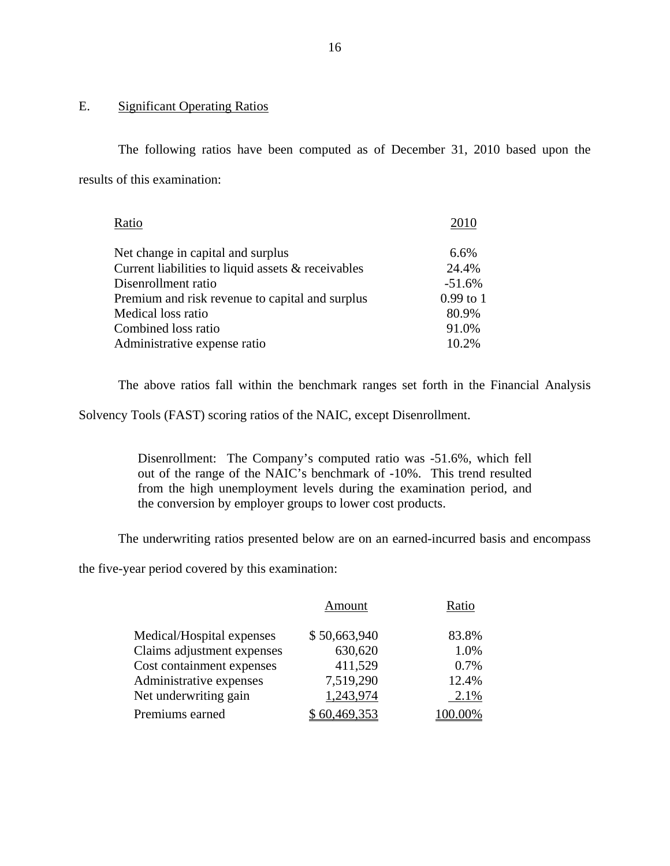## E. Significant Operating Ratios

The following ratios have been computed as of December 31, 2010 based upon the results of this examination:

| Ratio                                              | 2010        |
|----------------------------------------------------|-------------|
| Net change in capital and surplus                  | 6.6%        |
| Current liabilities to liquid assets & receivables | 24.4%       |
| Disenrollment ratio                                | $-51.6%$    |
| Premium and risk revenue to capital and surplus    | $0.99$ to 1 |
| Medical loss ratio                                 | 80.9%       |
| Combined loss ratio                                | 91.0%       |
| Administrative expense ratio                       | 10.2%       |

The above ratios fall within the benchmark ranges set forth in the Financial Analysis

Solvency Tools (FAST) scoring ratios of the NAIC, except Disenrollment.

Disenrollment: The Company's computed ratio was -51.6%, which fell out of the range of the NAIC's benchmark of -10%. This trend resulted from the high unemployment levels during the examination period, and the conversion by employer groups to lower cost products.

The underwriting ratios presented below are on an earned-incurred basis and encompass

the five-year period covered by this examination:

|                            | Amount       | Ratio   |
|----------------------------|--------------|---------|
| Medical/Hospital expenses  | \$50,663,940 | 83.8%   |
| Claims adjustment expenses | 630,620      | 1.0%    |
| Cost containment expenses  | 411,529      | 0.7%    |
| Administrative expenses    | 7,519,290    | 12.4%   |
| Net underwriting gain      | 1,243,974    | 2.1%    |
| Premiums earned            | 60,469,353   | 100.00% |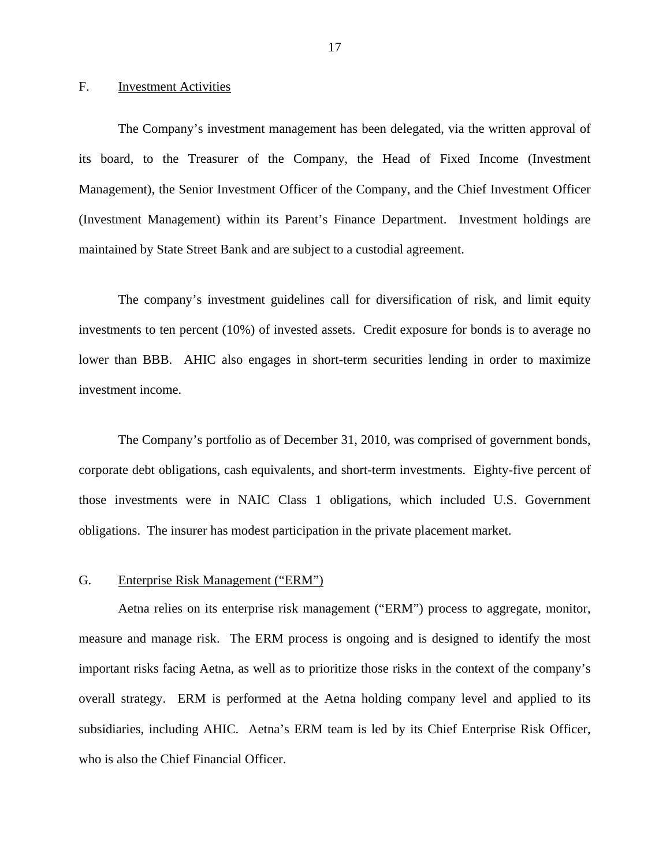#### <span id="page-18-0"></span>F. Investment Activities

The Company's investment management has been delegated, via the written approval of its board, to the Treasurer of the Company, the Head of Fixed Income (Investment Management), the Senior Investment Officer of the Company, and the Chief Investment Officer (Investment Management) within its Parent's Finance Department. Investment holdings are maintained by State Street Bank and are subject to a custodial agreement.

The company's investment guidelines call for diversification of risk, and limit equity investments to ten percent (10%) of invested assets. Credit exposure for bonds is to average no lower than BBB. AHIC also engages in short-term securities lending in order to maximize investment income.

The Company's portfolio as of December 31, 2010, was comprised of government bonds, corporate debt obligations, cash equivalents, and short-term investments. Eighty-five percent of those investments were in NAIC Class 1 obligations, which included U.S. Government obligations. The insurer has modest participation in the private placement market.

#### G. Enterprise Risk Management ("ERM")

Aetna relies on its enterprise risk management ("ERM") process to aggregate, monitor, measure and manage risk. The ERM process is ongoing and is designed to identify the most important risks facing Aetna, as well as to prioritize those risks in the context of the company's overall strategy. ERM is performed at the Aetna holding company level and applied to its subsidiaries, including AHIC. Aetna's ERM team is led by its Chief Enterprise Risk Officer, who is also the Chief Financial Officer.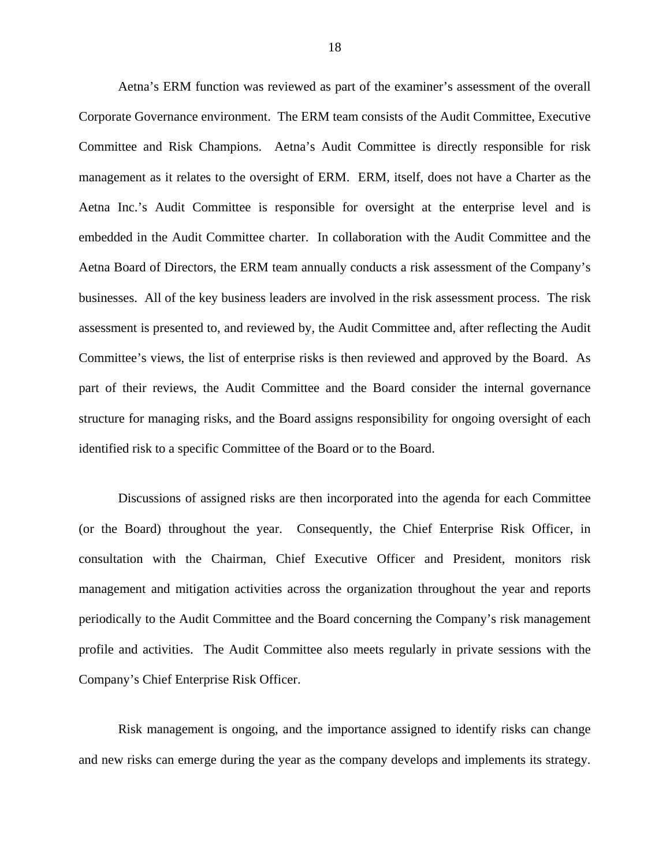Aetna's ERM function was reviewed as part of the examiner's assessment of the overall Corporate Governance environment. The ERM team consists of the Audit Committee, Executive Committee and Risk Champions. Aetna's Audit Committee is directly responsible for risk management as it relates to the oversight of ERM. ERM, itself, does not have a Charter as the Aetna Inc.'s Audit Committee is responsible for oversight at the enterprise level and is embedded in the Audit Committee charter. In collaboration with the Audit Committee and the Aetna Board of Directors, the ERM team annually conducts a risk assessment of the Company's businesses. All of the key business leaders are involved in the risk assessment process. The risk assessment is presented to, and reviewed by, the Audit Committee and, after reflecting the Audit Committee's views, the list of enterprise risks is then reviewed and approved by the Board. As part of their reviews, the Audit Committee and the Board consider the internal governance structure for managing risks, and the Board assigns responsibility for ongoing oversight of each identified risk to a specific Committee of the Board or to the Board.

Discussions of assigned risks are then incorporated into the agenda for each Committee (or the Board) throughout the year. Consequently, the Chief Enterprise Risk Officer, in consultation with the Chairman, Chief Executive Officer and President, monitors risk management and mitigation activities across the organization throughout the year and reports periodically to the Audit Committee and the Board concerning the Company's risk management profile and activities. The Audit Committee also meets regularly in private sessions with the Company's Chief Enterprise Risk Officer.

Risk management is ongoing, and the importance assigned to identify risks can change and new risks can emerge during the year as the company develops and implements its strategy.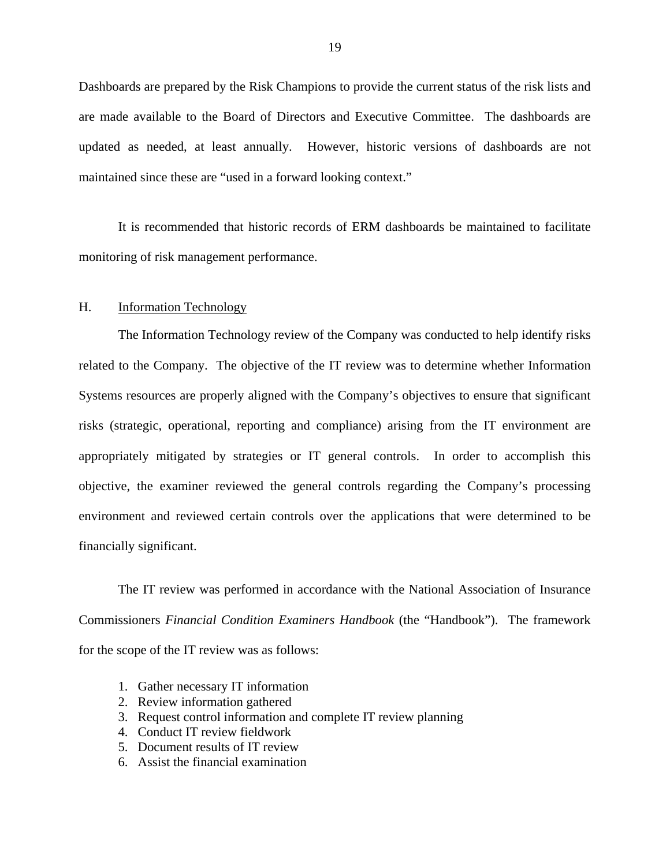<span id="page-20-0"></span>Dashboards are prepared by the Risk Champions to provide the current status of the risk lists and are made available to the Board of Directors and Executive Committee. The dashboards are updated as needed, at least annually. However, historic versions of dashboards are not maintained since these are "used in a forward looking context."

It is recommended that historic records of ERM dashboards be maintained to facilitate monitoring of risk management performance.

#### H. Information Technology

The Information Technology review of the Company was conducted to help identify risks related to the Company. The objective of the IT review was to determine whether Information Systems resources are properly aligned with the Company's objectives to ensure that significant risks (strategic, operational, reporting and compliance) arising from the IT environment are appropriately mitigated by strategies or IT general controls. In order to accomplish this objective, the examiner reviewed the general controls regarding the Company's processing environment and reviewed certain controls over the applications that were determined to be financially significant.

The IT review was performed in accordance with the National Association of Insurance Commissioners *Financial Condition Examiners Handbook* (the "Handbook"). The framework for the scope of the IT review was as follows:

- 1. Gather necessary IT information
- 2. Review information gathered
- 3. Request control information and complete IT review planning
- 4. Conduct IT review fieldwork
- 5. Document results of IT review
- 6. Assist the financial examination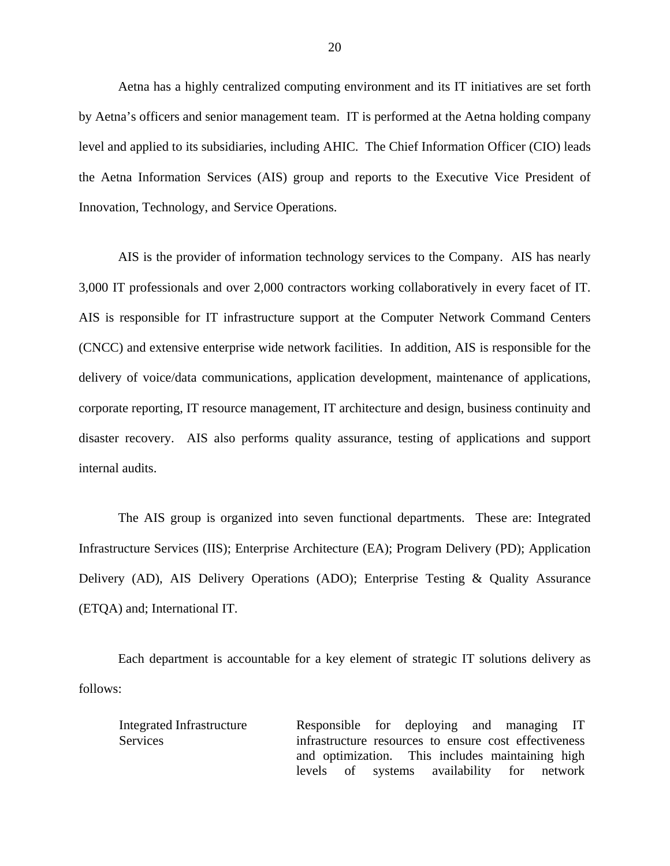Aetna has a highly centralized computing environment and its IT initiatives are set forth by Aetna's officers and senior management team. IT is performed at the Aetna holding company level and applied to its subsidiaries, including AHIC. The Chief Information Officer (CIO) leads the Aetna Information Services (AIS) group and reports to the Executive Vice President of Innovation, Technology, and Service Operations.

3,000 IT professionals and over 2,000 contractors working collaboratively in every facet of IT. AIS is the provider of information technology services to the Company. AIS has nearly AIS is responsible for IT infrastructure support at the Computer Network Command Centers (CNCC) and extensive enterprise wide network facilities. In addition, AIS is responsible for the delivery of voice/data communications, application development, maintenance of applications, corporate reporting, IT resource management, IT architecture and design, business continuity and disaster recovery. AIS also performs quality assurance, testing of applications and support internal audits.

The AIS group is organized into seven functional departments. These are: Integrated Infrastructure Services (IIS); Enterprise Architecture (EA); Program Delivery (PD); Application Delivery (AD), AIS Delivery Operations (ADO); Enterprise Testing & Quality Assurance (ETQA) and; International IT.

Each department is accountable for a key element of strategic IT solutions delivery as follows:

Integrated Infrastructure Responsible for deploying and managing IT Services infrastructure resources to ensure cost effectiveness and optimization. This includes maintaining high levels of systems availability for network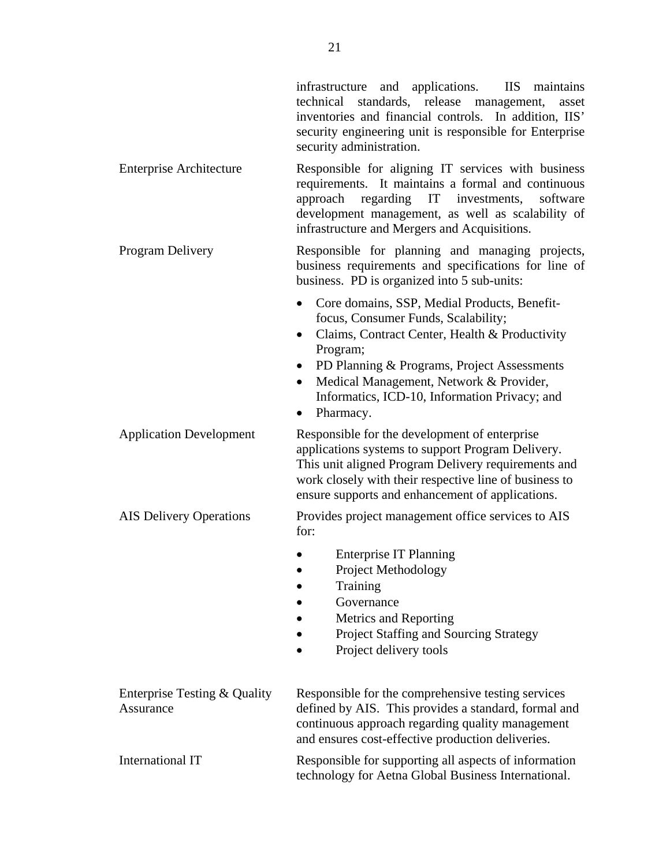infrastructure and applications. IIS maintains technical standards, release management, asset inventories and financial controls. In addition, IIS' security engineering unit is responsible for Enterprise security administration.

Enterprise Architecture Responsible for aligning IT services with business requirements. It maintains a formal and continuous approach regarding IT investments, software development management, as well as scalability of infrastructure and Mergers and Acquisitions.

- Program Delivery **Responsible for planning and managing projects,** business requirements and specifications for line of business. PD is organized into 5 sub-units:
	- Core domains, SSP, Medial Products, Benefitfocus, Consumer Funds, Scalability;
	- Claims, Contract Center, Health & Productivity Program;
	- PD Planning & Programs, Project Assessments
	- Medical Management, Network & Provider, Informatics, ICD-10, Information Privacy; and
	- Pharmacy.

Application Development Responsible for the development of enterprise applications systems to support Program Delivery. This unit aligned Program Delivery requirements and work closely with their respective line of business to ensure supports and enhancement of applications.

### AIS Delivery Operations Provides project management office services to AIS for:

- Enterprise IT Planning
- Project Methodology
- Training
- Governance
- Metrics and Reporting
- Project Staffing and Sourcing Strategy
- Project delivery tools

| Enterprise Testing & Quality<br>Assurance | Responsible for the comprehensive testing services<br>defined by AIS. This provides a standard, formal and<br>continuous approach regarding quality management<br>and ensures cost-effective production deliveries. |
|-------------------------------------------|---------------------------------------------------------------------------------------------------------------------------------------------------------------------------------------------------------------------|
| International IT                          | Responsible for supporting all aspects of information<br>technology for Aetna Global Business International.                                                                                                        |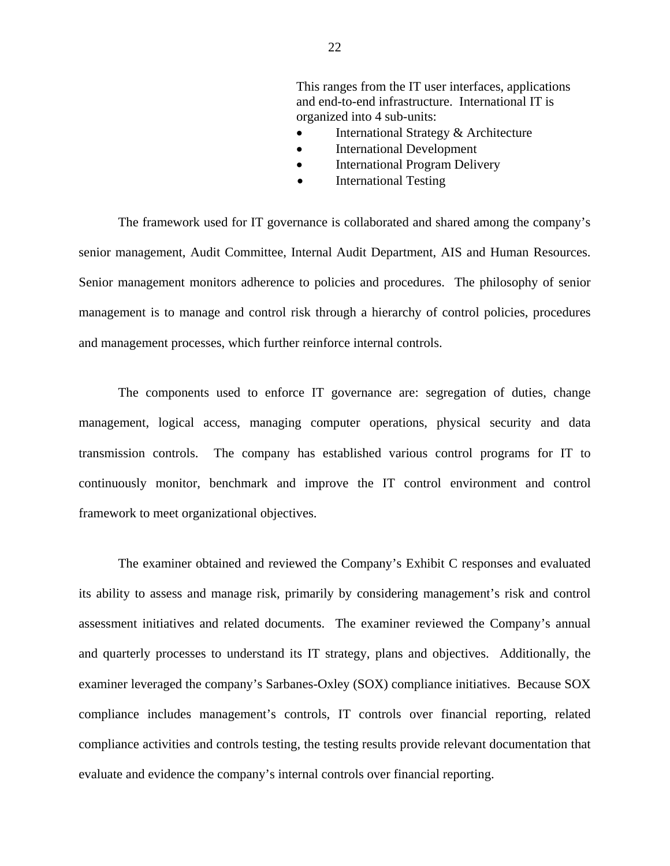This ranges from the IT user interfaces, applications and end-to-end infrastructure. International IT is organized into 4 sub-units:

- International Strategy & Architecture
- International Development
- International Program Delivery
- International Testing

The framework used for IT governance is collaborated and shared among the company's senior management, Audit Committee, Internal Audit Department, AIS and Human Resources. Senior management monitors adherence to policies and procedures. The philosophy of senior management is to manage and control risk through a hierarchy of control policies, procedures and management processes, which further reinforce internal controls.

The components used to enforce IT governance are: segregation of duties, change management, logical access, managing computer operations, physical security and data transmission controls. The company has established various control programs for IT to continuously monitor, benchmark and improve the IT control environment and control framework to meet organizational objectives.

The examiner obtained and reviewed the Company's Exhibit C responses and evaluated its ability to assess and manage risk, primarily by considering management's risk and control assessment initiatives and related documents. The examiner reviewed the Company's annual and quarterly processes to understand its IT strategy, plans and objectives. Additionally, the examiner leveraged the company's Sarbanes-Oxley (SOX) compliance initiatives. Because SOX compliance includes management's controls, IT controls over financial reporting, related compliance activities and controls testing, the testing results provide relevant documentation that evaluate and evidence the company's internal controls over financial reporting.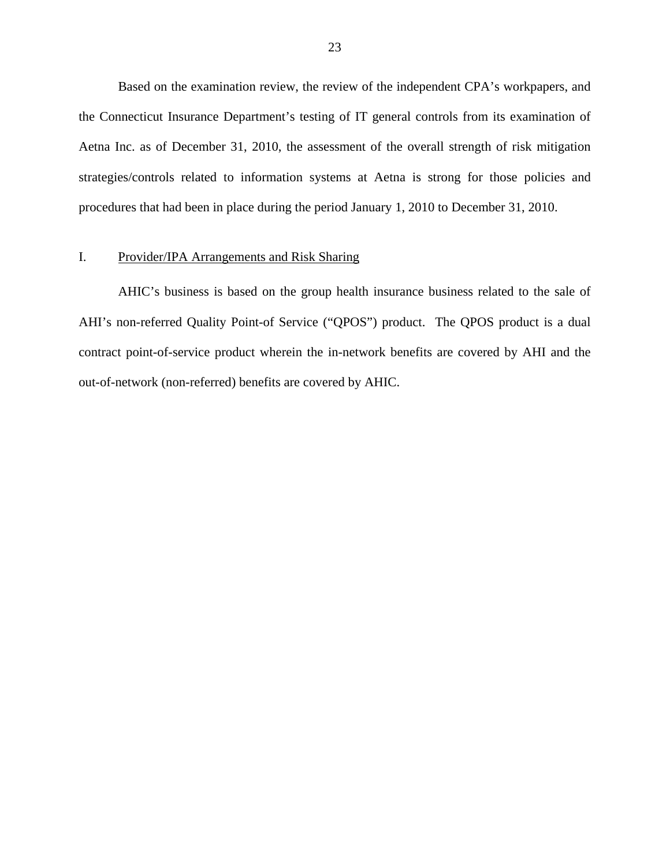<span id="page-24-0"></span>Based on the examination review, the review of the independent CPA's workpapers, and the Connecticut Insurance Department's testing of IT general controls from its examination of Aetna Inc. as of December 31, 2010, the assessment of the overall strength of risk mitigation strategies/controls related to information systems at Aetna is strong for those policies and procedures that had been in place during the period January 1, 2010 to December 31, 2010.

#### I. Provider/IPA Arrangements and Risk Sharing

AHIC's business is based on the group health insurance business related to the sale of AHI's non-referred Quality Point-of Service ("QPOS") product. The QPOS product is a dual contract point-of-service product wherein the in-network benefits are covered by AHI and the out-of-network (non-referred) benefits are covered by AHIC.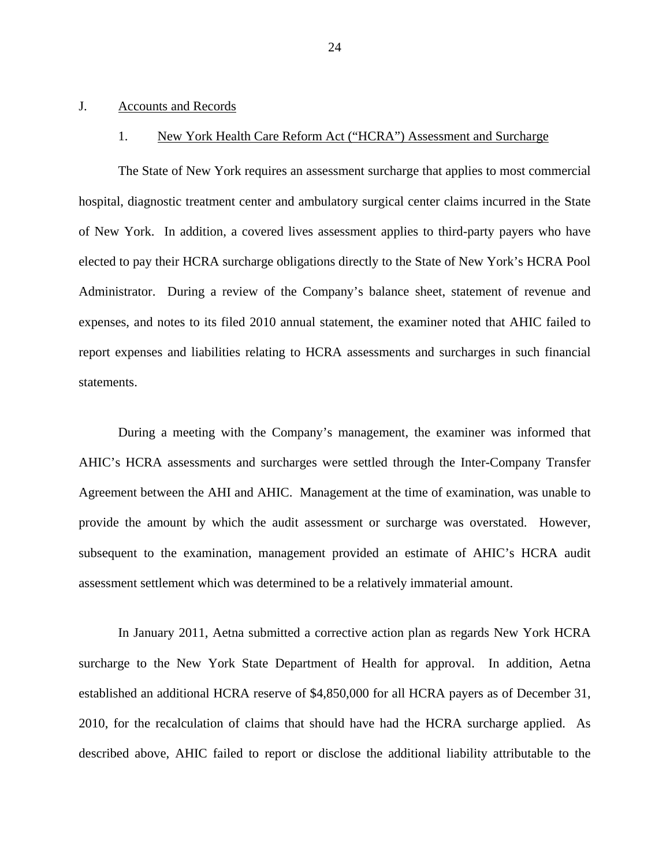#### <span id="page-25-0"></span>J. Accounts and Records

#### 1. New York Health Care Reform Act ("HCRA") Assessment and Surcharge

The State of New York requires an assessment surcharge that applies to most commercial hospital, diagnostic treatment center and ambulatory surgical center claims incurred in the State of New York. In addition, a covered lives assessment applies to third-party payers who have elected to pay their HCRA surcharge obligations directly to the State of New York's HCRA Pool Administrator. During a review of the Company's balance sheet, statement of revenue and expenses, and notes to its filed 2010 annual statement, the examiner noted that AHIC failed to report expenses and liabilities relating to HCRA assessments and surcharges in such financial statements.

During a meeting with the Company's management, the examiner was informed that AHIC's HCRA assessments and surcharges were settled through the Inter-Company Transfer Agreement between the AHI and AHIC. Management at the time of examination, was unable to provide the amount by which the audit assessment or surcharge was overstated. However, subsequent to the examination, management provided an estimate of AHIC's HCRA audit assessment settlement which was determined to be a relatively immaterial amount.

In January 2011, Aetna submitted a corrective action plan as regards New York HCRA surcharge to the New York State Department of Health for approval. In addition, Aetna established an additional HCRA reserve of \$4,850,000 for all HCRA payers as of December 31, 2010, for the recalculation of claims that should have had the HCRA surcharge applied. As described above, AHIC failed to report or disclose the additional liability attributable to the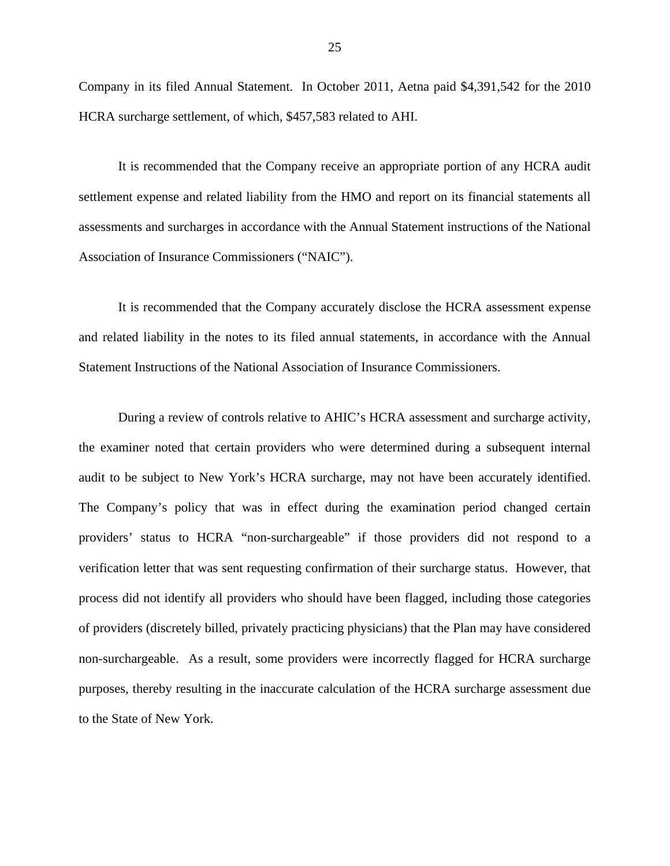Company in its filed Annual Statement. In October 2011, Aetna paid \$4,391,542 for the 2010 HCRA surcharge settlement, of which, \$457,583 related to AHI.

It is recommended that the Company receive an appropriate portion of any HCRA audit settlement expense and related liability from the HMO and report on its financial statements all assessments and surcharges in accordance with the Annual Statement instructions of the National Association of Insurance Commissioners ("NAIC").

It is recommended that the Company accurately disclose the HCRA assessment expense and related liability in the notes to its filed annual statements, in accordance with the Annual Statement Instructions of the National Association of Insurance Commissioners.

audit to be subject to New York's HCRA surcharge, may not have been accurately identified. During a review of controls relative to AHIC's HCRA assessment and surcharge activity, the examiner noted that certain providers who were determined during a subsequent internal The Company's policy that was in effect during the examination period changed certain providers' status to HCRA "non-surchargeable" if those providers did not respond to a verification letter that was sent requesting confirmation of their surcharge status. However, that process did not identify all providers who should have been flagged, including those categories of providers (discretely billed, privately practicing physicians) that the Plan may have considered non-surchargeable. As a result, some providers were incorrectly flagged for HCRA surcharge purposes, thereby resulting in the inaccurate calculation of the HCRA surcharge assessment due to the State of New York.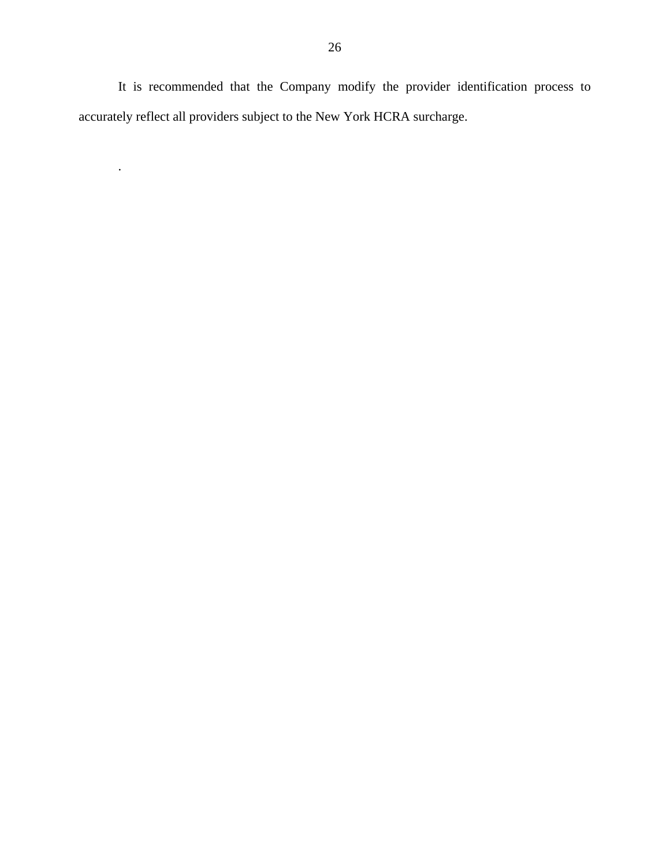It is recommended that the Company modify the provider identification process to accurately reflect all providers subject to the New York HCRA surcharge.

.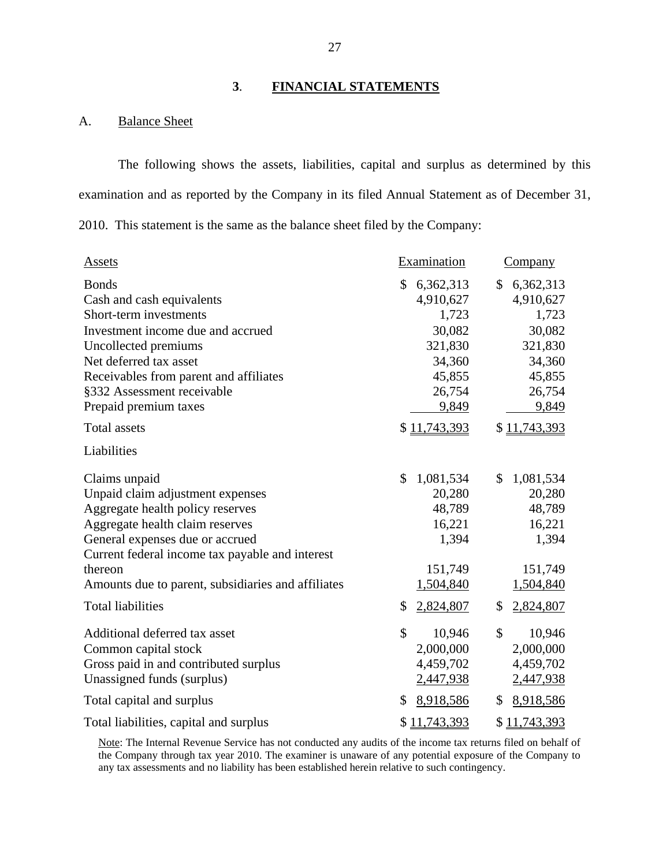## **3**. **FINANCIAL STATEMENTS**

### <span id="page-28-0"></span>A. Balance Sheet

The following shows the assets, liabilities, capital and surplus as determined by this examination and as reported by the Company in its filed Annual Statement as of December 31, 2010. This statement is the same as the balance sheet filed by the Company:

| <b>Assets</b>                                                       | Examination                           | <b>Company</b>                        |
|---------------------------------------------------------------------|---------------------------------------|---------------------------------------|
| <b>Bonds</b><br>Cash and cash equivalents<br>Short-term investments | \$<br>6,362,313<br>4,910,627<br>1,723 | \$<br>6,362,313<br>4,910,627<br>1,723 |
| Investment income due and accrued                                   | 30,082                                | 30,082                                |
| Uncollected premiums                                                | 321,830                               | 321,830                               |
| Net deferred tax asset                                              | 34,360                                | 34,360                                |
| Receivables from parent and affiliates                              | 45,855                                | 45,855                                |
| §332 Assessment receivable                                          | 26,754                                | 26,754                                |
| Prepaid premium taxes                                               | 9,849                                 | 9,849                                 |
| <b>Total assets</b>                                                 | \$11,743,393                          | \$11,743,393                          |
| Liabilities                                                         |                                       |                                       |
| Claims unpaid                                                       | \$<br>1,081,534                       | \$<br>1,081,534                       |
| Unpaid claim adjustment expenses                                    | 20,280                                | 20,280                                |
| Aggregate health policy reserves                                    | 48,789                                | 48,789                                |
| Aggregate health claim reserves                                     | 16,221                                | 16,221                                |
| General expenses due or accrued                                     | 1,394                                 | 1,394                                 |
| Current federal income tax payable and interest                     |                                       |                                       |
| thereon                                                             | 151,749                               | 151,749                               |
| Amounts due to parent, subsidiaries and affiliates                  | 1,504,840                             | 1,504,840                             |
| <b>Total liabilities</b>                                            | 2,824,807<br>\$                       | \$<br>2,824,807                       |
| Additional deferred tax asset                                       | $\mathcal{S}$<br>10,946               | \$<br>10,946                          |
| Common capital stock                                                | 2,000,000                             | 2,000,000                             |
| Gross paid in and contributed surplus                               | 4,459,702                             | 4,459,702                             |
| Unassigned funds (surplus)                                          | 2,447,938                             | 2,447,938                             |
| Total capital and surplus                                           | 8,918,586<br>\$                       | \$<br>8,918,586                       |
| Total liabilities, capital and surplus                              | \$11,743,393                          | \$11,743,393                          |

Note: The Internal Revenue Service has not conducted any audits of the income tax returns filed on behalf of the Company through tax year 2010. The examiner is unaware of any potential exposure of the Company to any tax assessments and no liability has been established herein relative to such contingency.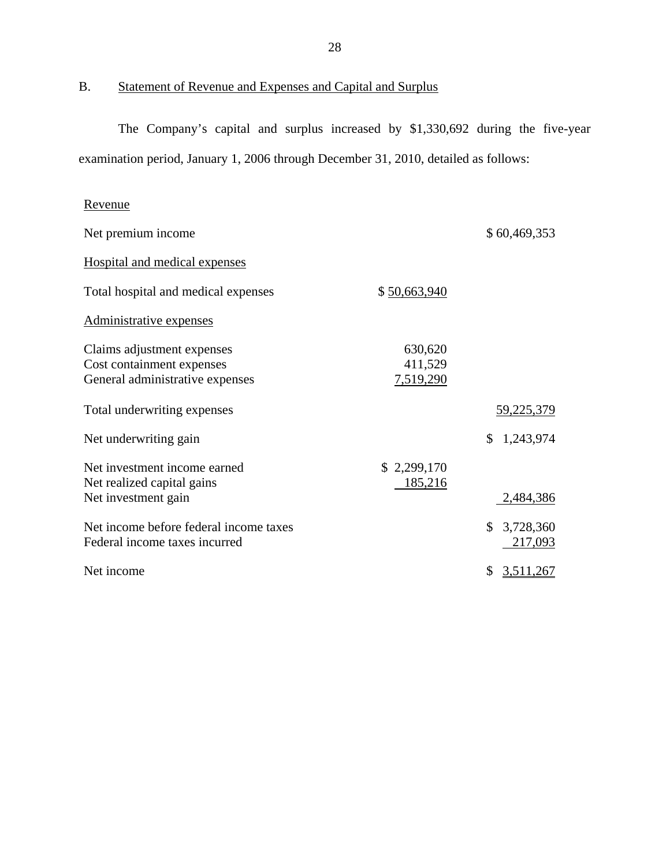B. Statement of Revenue and Expenses and Capital and Surplus

The Company's capital and surplus increased by \$1,330,692 during the five-year examination period, January 1, 2006 through December 31, 2010, detailed as follows:

## Revenue

| Net premium income                                                                         |                                 | \$60,469,353               |
|--------------------------------------------------------------------------------------------|---------------------------------|----------------------------|
| Hospital and medical expenses                                                              |                                 |                            |
| Total hospital and medical expenses                                                        | \$50,663,940                    |                            |
| Administrative expenses                                                                    |                                 |                            |
| Claims adjustment expenses<br>Cost containment expenses<br>General administrative expenses | 630,620<br>411,529<br>7,519,290 |                            |
| Total underwriting expenses                                                                |                                 | 59,225,379                 |
| Net underwriting gain                                                                      |                                 | \$<br>1,243,974            |
| Net investment income earned<br>Net realized capital gains<br>Net investment gain          | \$2,299,170<br>185,216          | 2,484,386                  |
| Net income before federal income taxes<br>Federal income taxes incurred                    |                                 | \$<br>3,728,360<br>217,093 |
| Net income                                                                                 |                                 | \$<br>3,511,267            |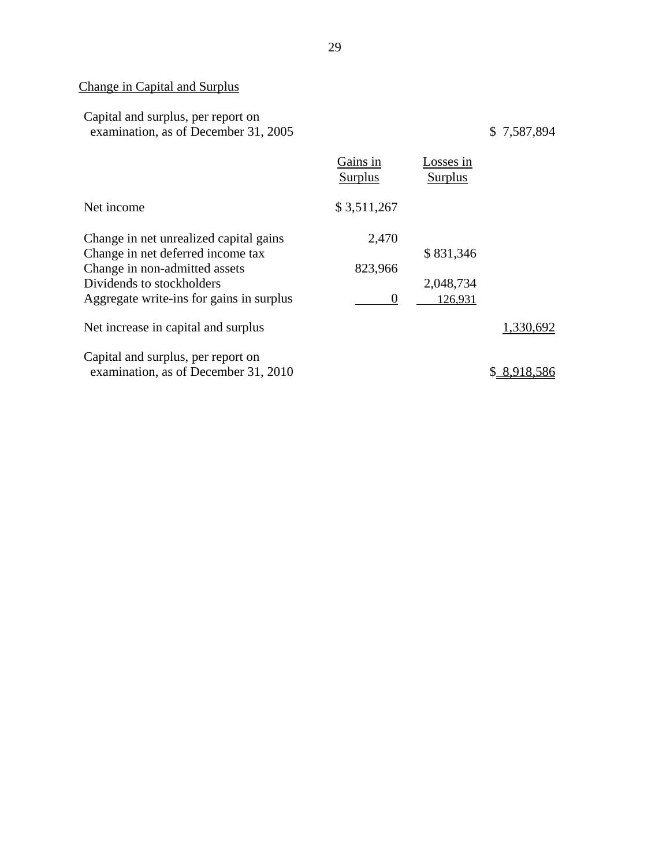# Change in Capital and Surplus

| Capital and surplus, per report on   |  |
|--------------------------------------|--|
| examination, as of December 31, 2005 |  |

 $$7,587,894$ 

|                                          | Gains in<br>Surplus | Losses in<br>Surplus |             |
|------------------------------------------|---------------------|----------------------|-------------|
| Net income                               | \$3,511,267         |                      |             |
| Change in net unrealized capital gains   | 2,470               |                      |             |
| Change in net deferred income tax        |                     | \$831,346            |             |
| Change in non-admitted assets            | 823,966             |                      |             |
| Dividends to stockholders                |                     | 2,048,734            |             |
| Aggregate write-ins for gains in surplus | $\theta$            | 126,931              |             |
| Net increase in capital and surplus      |                     |                      | 1,330,692   |
| Capital and surplus, per report on       |                     |                      |             |
| examination, as of December 31, 2010     |                     |                      | \$8,918,586 |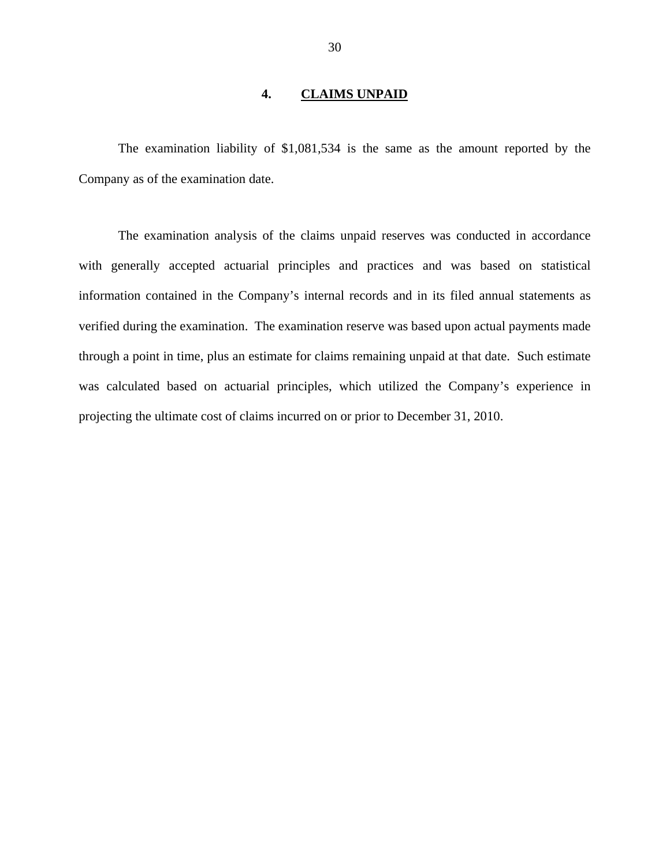#### **4. CLAIMS UNPAID**

<span id="page-31-0"></span>The examination liability of \$1,081,534 is the same as the amount reported by the Company as of the examination date.

The examination analysis of the claims unpaid reserves was conducted in accordance with generally accepted actuarial principles and practices and was based on statistical information contained in the Company's internal records and in its filed annual statements as verified during the examination. The examination reserve was based upon actual payments made through a point in time, plus an estimate for claims remaining unpaid at that date. Such estimate was calculated based on actuarial principles, which utilized the Company's experience in projecting the ultimate cost of claims incurred on or prior to December 31, 2010.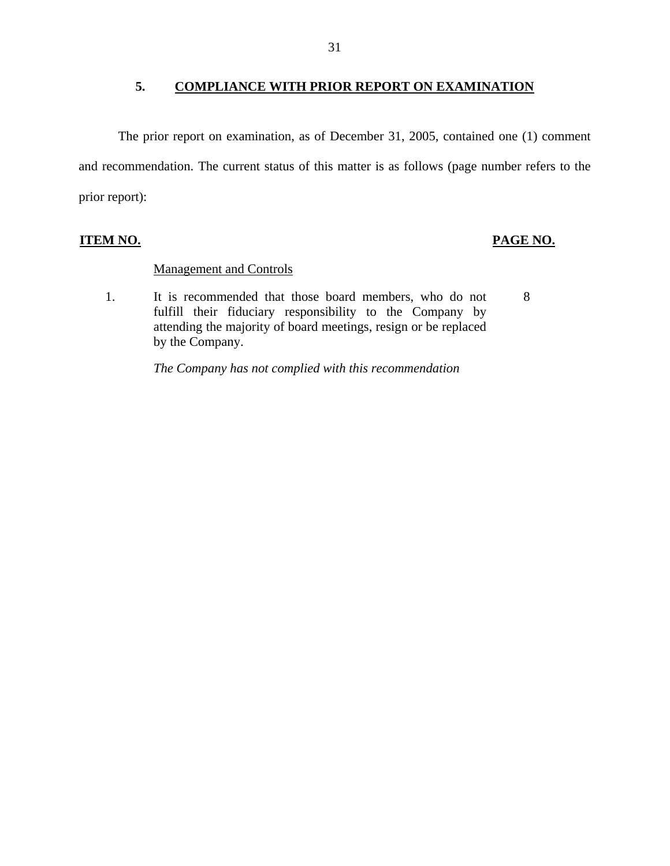### **5. COMPLIANCE WITH PRIOR REPORT ON EXAMINATION**

<span id="page-32-0"></span>The prior report on examination, as of December 31, 2005, contained one (1) comment and recommendation. The current status of this matter is as follows (page number refers to the prior report):

## **ITEM NO. PAGE NO.**

#### Management and Controls

1. It is recommended that those board members, who do not 8 fulfill their fiduciary responsibility to the Company by attending the majority of board meetings, resign or be replaced by the Company.

*The Company has not complied with this recommendation*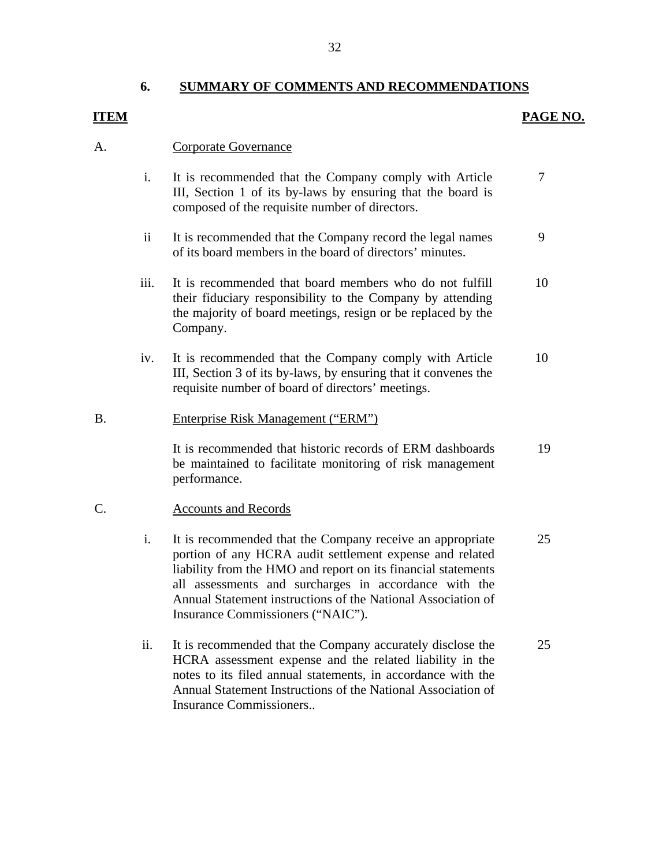#### **6. SUMMARY OF COMMENTS AND RECOMMENDATIONS**

### **ITEM** PAGE NO.

#### A. Corporate Governance

- i. It is recommended that the Company comply with Article III, Section 1 of its by-laws by ensuring that the board is composed of the requisite number of directors. 7
- ii It is recommended that the Company record the legal names of its board members in the board of directors' minutes. 9
- iii. It is recommended that board members who do not fulfill their fiduciary responsibility to the Company by attending the majority of board meetings, resign or be replaced by the Company. 10
- iv. It is recommended that the Company comply with Article III, Section 3 of its by-laws, by ensuring that it convenes the requisite number of board of directors' meetings. 10

#### B. Enterprise Risk Management ("ERM")

It is recommended that historic records of ERM dashboards be maintained to facilitate monitoring of risk management performance. 19

#### C. Accounts and Records

- i. It is recommended that the Company receive an appropriate portion of any HCRA audit settlement expense and related liability from the HMO and report on its financial statements all assessments and surcharges in accordance with the Annual Statement instructions of the National Association of Insurance Commissioners ("NAIC"). 25
- ii. It is recommended that the Company accurately disclose the HCRA assessment expense and the related liability in the notes to its filed annual statements, in accordance with the Annual Statement Instructions of the National Association of Insurance Commissioners.. 25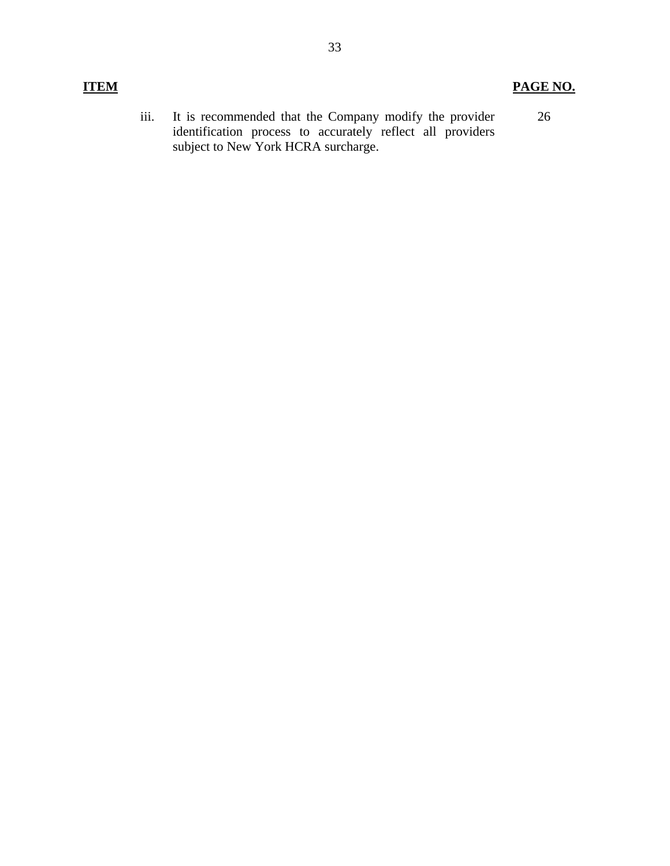iii. It is recommended that the Company modify the provider identification process to accurately reflect all providers subject to New York HCRA surcharge. 26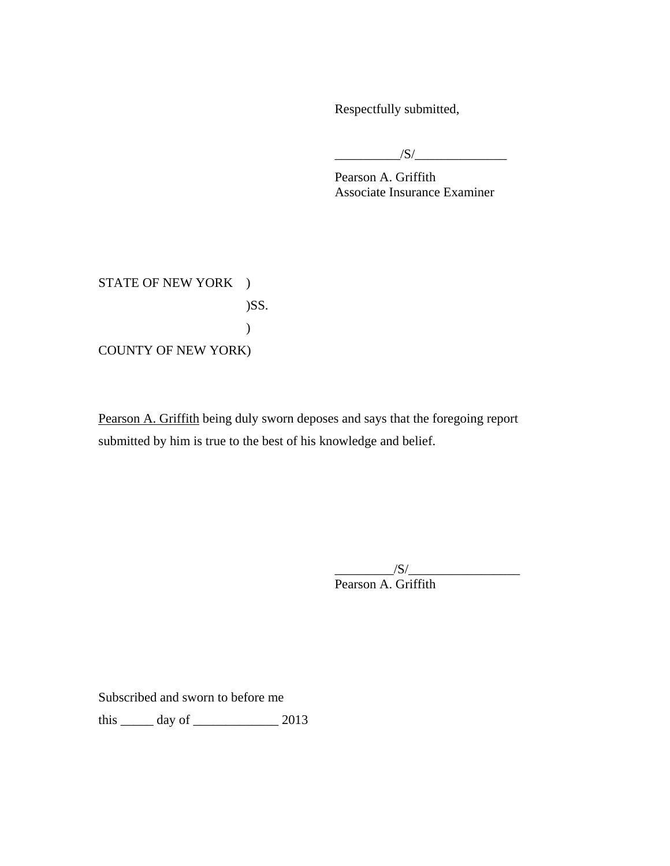Respectfully submitted,

\_\_\_\_\_\_\_\_\_\_/S/\_\_\_\_\_\_\_\_\_\_\_\_\_\_

Pearson A. Griffith Associate Insurance Examiner

STATE OF NEW YORK ) )SS. ) COUNTY OF NEW YORK)

Pearson A. Griffith being duly sworn deposes and says that the foregoing report submitted by him is true to the best of his knowledge and belief.

> $/S/$ Pearson A. Griffith

Subscribed and sworn to before me

this \_\_\_\_\_\_ day of \_\_\_\_\_\_\_\_\_\_\_\_\_\_\_\_\_\_ 2013